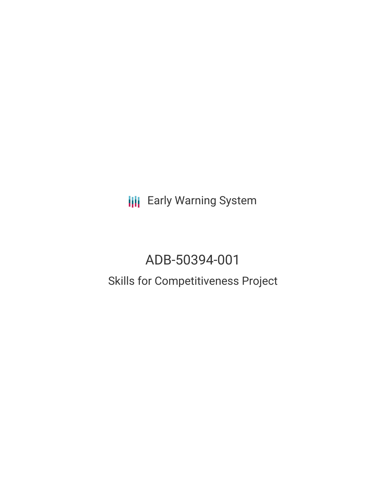**III** Early Warning System

# ADB-50394-001 Skills for Competitiveness Project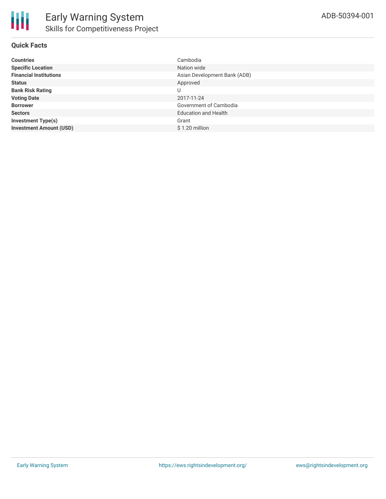## **Quick Facts**

| <b>Countries</b>               | Cambodia                     |
|--------------------------------|------------------------------|
| <b>Specific Location</b>       | Nation wide                  |
| <b>Financial Institutions</b>  | Asian Development Bank (ADB) |
| <b>Status</b>                  | Approved                     |
| <b>Bank Risk Rating</b>        | U                            |
| <b>Voting Date</b>             | 2017-11-24                   |
| <b>Borrower</b>                | Government of Cambodia       |
| <b>Sectors</b>                 | <b>Education and Health</b>  |
| <b>Investment Type(s)</b>      | Grant                        |
| <b>Investment Amount (USD)</b> | $$1.20$ million              |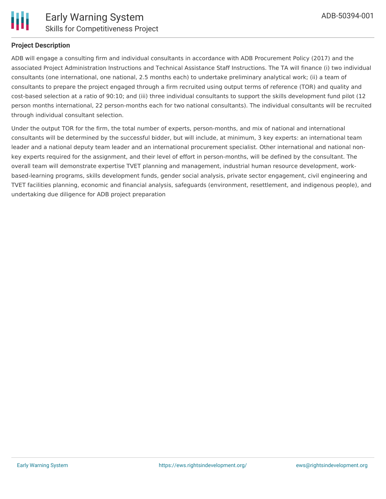

## **Project Description**

ADB will engage a consulting firm and individual consultants in accordance with ADB Procurement Policy (2017) and the associated Project Administration Instructions and Technical Assistance Staff Instructions. The TA will finance (i) two individual consultants (one international, one national, 2.5 months each) to undertake preliminary analytical work; (ii) a team of consultants to prepare the project engaged through a firm recruited using output terms of reference (TOR) and quality and cost-based selection at a ratio of 90:10; and (iii) three individual consultants to support the skills development fund pilot (12 person months international, 22 person-months each for two national consultants). The individual consultants will be recruited through individual consultant selection.

Under the output TOR for the firm, the total number of experts, person-months, and mix of national and international consultants will be determined by the successful bidder, but will include, at minimum, 3 key experts: an international team leader and a national deputy team leader and an international procurement specialist. Other international and national nonkey experts required for the assignment, and their level of effort in person-months, will be defined by the consultant. The overall team will demonstrate expertise TVET planning and management, industrial human resource development, workbased-learning programs, skills development funds, gender social analysis, private sector engagement, civil engineering and TVET facilities planning, economic and financial analysis, safeguards (environment, resettlement, and indigenous people), and undertaking due diligence for ADB project preparation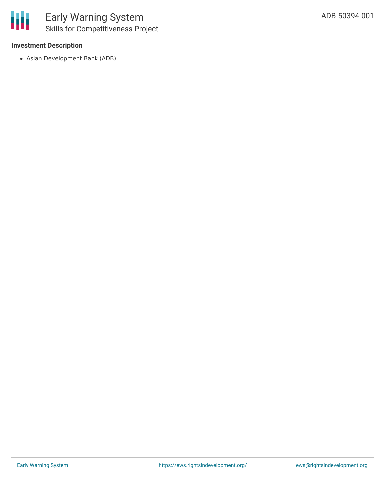### **Investment Description**

Asian Development Bank (ADB)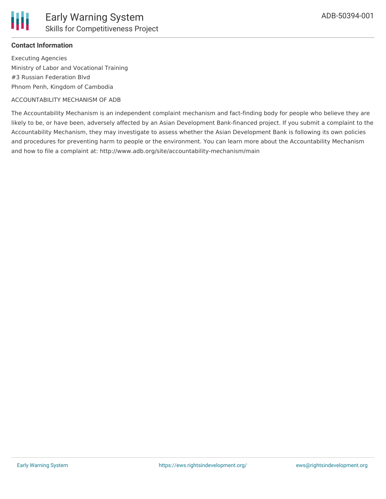

Executing Agencies Ministry of Labor and Vocational Training #3 Russian Federation Blvd Phnom Penh, Kingdom of Cambodia

#### ACCOUNTABILITY MECHANISM OF ADB

The Accountability Mechanism is an independent complaint mechanism and fact-finding body for people who believe they are likely to be, or have been, adversely affected by an Asian Development Bank-financed project. If you submit a complaint to the Accountability Mechanism, they may investigate to assess whether the Asian Development Bank is following its own policies and procedures for preventing harm to people or the environment. You can learn more about the Accountability Mechanism and how to file a complaint at: http://www.adb.org/site/accountability-mechanism/main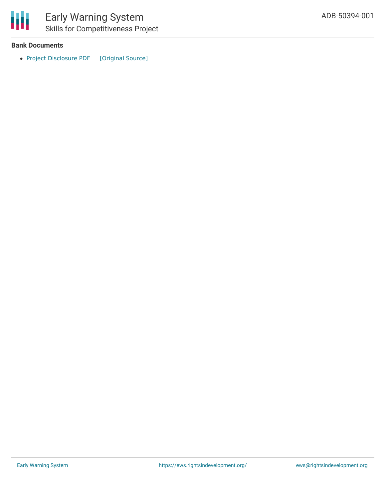

#### **Bank Documents**

• Project [Disclosure](https://ewsdata.rightsindevelopment.org/files/documents/01/ADB-50394-001.pdf) PDF [\[Original](https://www.adb.org/printpdf/projects/50394-001/main) Source]